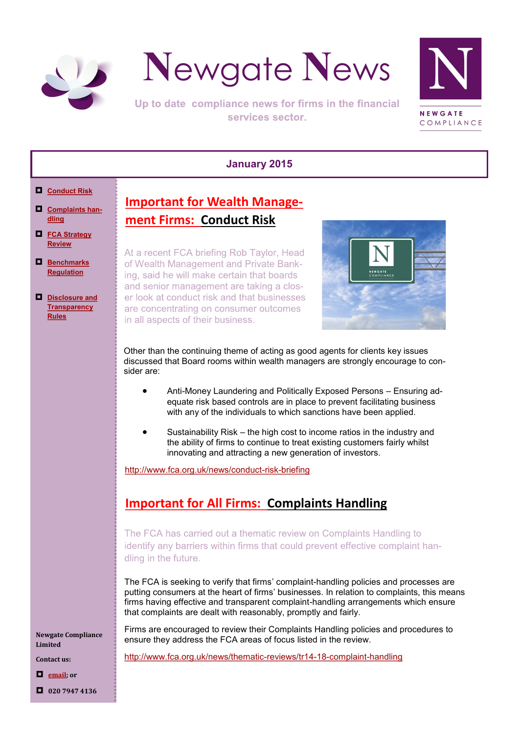<span id="page-0-0"></span>



Up to date compliance news for firms in the financial services sector.



#### **January 2015**

- **[Conduct Risk](#page-0-0)**
- **[Complaints han](#page-0-0)[dling](#page-0-0)**
- **[FCA Strategy](#page-1-0)  [Review](#page-1-0)**
- **[Benchmarks](#page-1-0)  [Regulation](#page-1-0)**
- **[Disclosure and](#page-2-0)  [Transparency](#page-2-0)  [Rules](#page-2-0)**

**Important for Wealth Management Firms: Conduct Risk**

At a recent FCA briefing Rob Taylor, Head of Wealth Management and Private Banking, said he will make certain that boards and senior management are taking a closer look at conduct risk and that businesses are concentrating on consumer outcomes in all aspects of their business.



Other than the continuing theme of acting as good agents for clients key issues discussed that Board rooms within wealth managers are strongly encourage to consider are:

- Anti-Money Laundering and Politically Exposed Persons Ensuring adequate risk based controls are in place to prevent facilitating business with any of the individuals to which sanctions have been applied.
- Sustainability Risk the high cost to income ratios in the industry and the ability of firms to continue to treat existing customers fairly whilst innovating and attracting a new generation of investors.

[http://www.fca.org.uk/news/conduct](http://www.fca.org.uk/news/conduct-risk-briefing)-risk-briefing

# **Important for All Firms: Complaints Handling**

The FCA has carried out a thematic review on Complaints Handling to identify any barriers within firms that could prevent effective complaint handling in the future.

The FCA is seeking to verify that firms' complaint-handling policies and processes are putting consumers at the heart of firms' businesses. In relation to complaints, this means firms having effective and transparent complaint-handling arrangements which ensure that complaints are dealt with reasonably, promptly and fairly.

Firms are encouraged to review their Complaints Handling policies and procedures to ensure they address the FCA areas of focus listed in the review.

[http://www.fca.org.uk/news/thematic](http://www.fca.org.uk/news/thematic-reviews/tr14-18-complaint-handling)-reviews/tr14-18-complaint-handling

**Newgate Compliance Limited**

**Contact us:**

**[email;](mailto:info@newgatecompliance.com?subject=Email%20from%20Newgate%20News) or**

**020 7947 4136**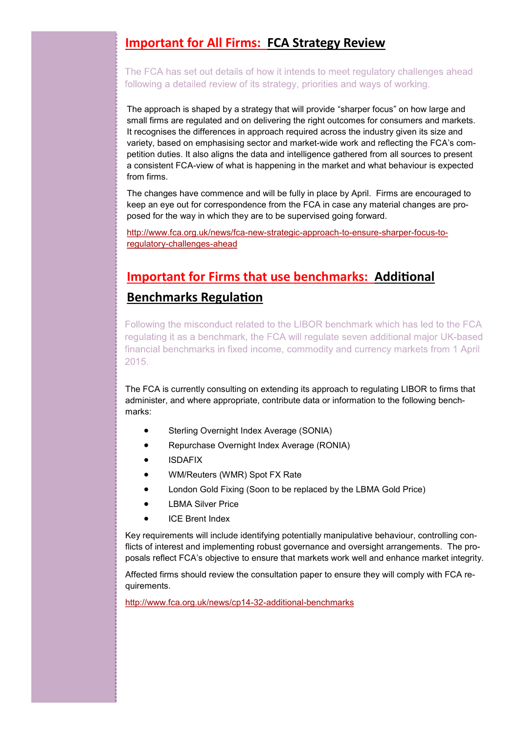### <span id="page-1-0"></span>**Important for All Firms: FCA Strategy Review**

The FCA has set out details of how it intends to meet regulatory challenges ahead following a detailed review of its strategy, priorities and ways of working.

The approach is shaped by a strategy that will provide "sharper focus" on how large and small firms are regulated and on delivering the right outcomes for consumers and markets. It recognises the differences in approach required across the industry given its size and variety, based on emphasising sector and market-wide work and reflecting the FCA's competition duties. It also aligns the data and intelligence gathered from all sources to present a consistent FCA-view of what is happening in the market and what behaviour is expected from firms.

The changes have commence and will be fully in place by April. Firms are encouraged to keep an eye out for correspondence from the FCA in case any material changes are proposed for the way in which they are to be supervised going forward.

[http://www.fca.org.uk/news/fca](http://www.fca.org.uk/news/fca-new-strategic-approach-to-ensure-sharper-focus-to-regulatory-challenges-ahead)-new-strategic-approach-to-ensure-sharper-focus-toregulatory-[challenges](http://www.fca.org.uk/news/fca-new-strategic-approach-to-ensure-sharper-focus-to-regulatory-challenges-ahead)-ahead

# **Important for Firms that use benchmarks: Additional Benchmarks Regulation**

Following the misconduct related to the LIBOR benchmark which has led to the FCA regulating it as a benchmark, the FCA will regulate seven additional major UK-based financial benchmarks in fixed income, commodity and currency markets from 1 April 2015.

The FCA is currently consulting on extending its approach to regulating LIBOR to firms that administer, and where appropriate, contribute data or information to the following benchmarks:

- Sterling Overnight Index Average (SONIA)
- Repurchase Overnight Index Average (RONIA)
- **•** ISDAFIX
- WM/Reuters (WMR) Spot FX Rate
- London Gold Fixing (Soon to be replaced by the LBMA Gold Price)
- LBMA Silver Price
- ICE Brent Index

Key requirements will include identifying potentially manipulative behaviour, controlling conflicts of interest and implementing robust governance and oversight arrangements. The proposals reflect FCA's objective to ensure that markets work well and enhance market integrity.

Affected firms should review the consultation paper to ensure they will comply with FCA requirements.

[http://www.fca.org.uk/news/cp14](http://www.fca.org.uk/news/cp14-32-additional-benchmarks)-32-additional-benchmarks